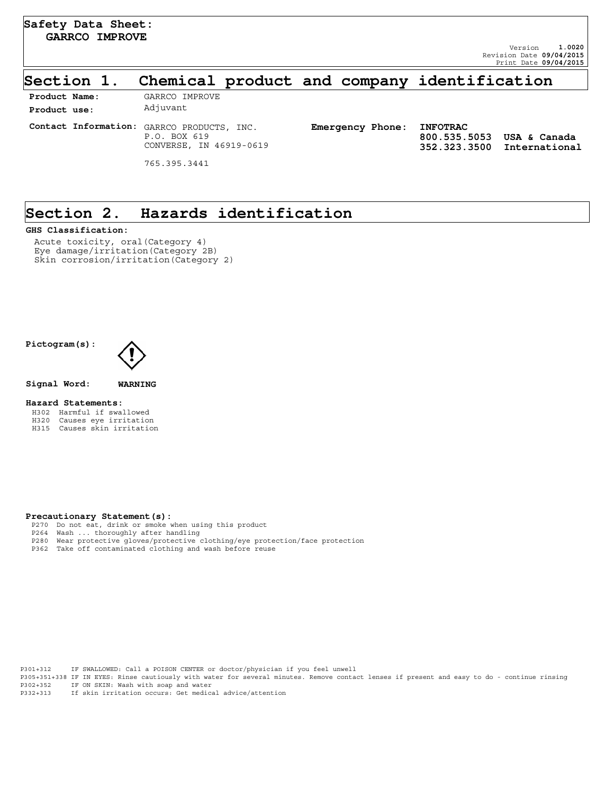**352.323.3500 International**

 **800.535.5053 USA & Canada**

### **Section 1. Chemical product and company identification**

| Product Name: | GARRCO IMPROVE                                                                        |                           |                      |
|---------------|---------------------------------------------------------------------------------------|---------------------------|----------------------|
| Product use:  | Adjuvant                                                                              |                           |                      |
|               | Contact Information: GARRCO PRODUCTS, INC.<br>P.O. BOX 619<br>CONVERSE, IN 46919-0619 | Emergency Phone: INFOTRAC | 800.535.<br>352.323. |
|               | 765.395.3441                                                                          |                           |                      |

## **Section 2. Hazards identification**

#### **GHS Classification:**

Acute toxicity, oral(Category 4) Eye damage/irritation(Category 2B) Skin corrosion/irritation(Category 2)

#### **Pictogram(s):**



**Signal Word: WARNING**

#### **Hazard Statements:**

- H302 Harmful if swallowed
- H320 Causes eye irritation H315 Causes skin irritation

#### **Precautionary Statement(s):**

- P270 Do not eat, drink or smoke when using this product
- 
- P264 Wash ... thoroughly after handling P280 Wear protective gloves/protective clothing/eye protection/face protection
- P362 Take off contaminated clothing and wash before reuse

P301+312 IF SWALLOWED: Call a POISON CENTER or doctor/physician if you feel unwell P305+351+338 IF IN EYES: Rinse cautiously with water for several minutes. Remove contact lenses if present and easy to do - continue rinsing P302+352 IF ON SKIN: Wash with soap and water P332+313 If skin irritation occurs: Get medical advice/attention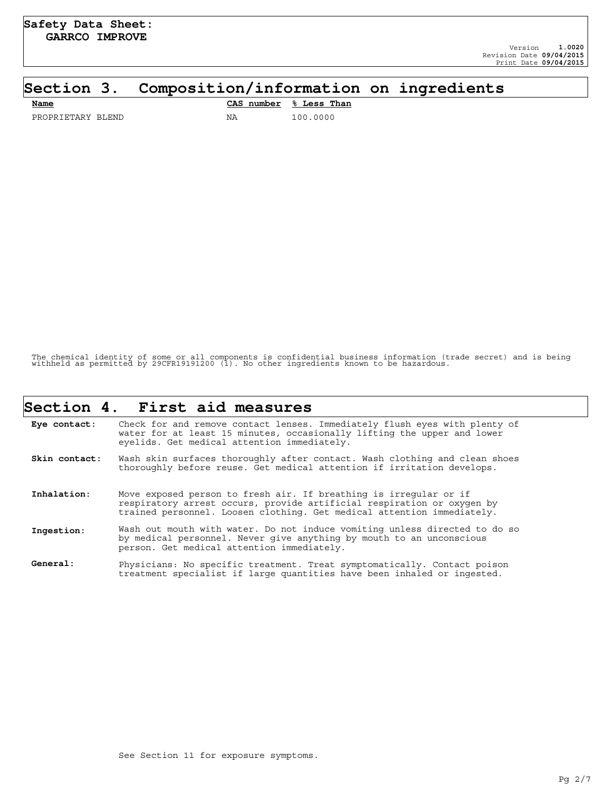## **Section 3. Composition/information on ingredients**

| Name              |    | CAS number % Less Than |
|-------------------|----|------------------------|
| PROPRIETARY BLEND | ΝA | 100.0000               |

The chemical identity of some or all components is confidential business information (trade secret) and is being withheld as permitted by 29CFR19191200 (i). No other ingredients known to be hazardous.

|               | Section 4. First aid measures                                                                                                                                                                                         |
|---------------|-----------------------------------------------------------------------------------------------------------------------------------------------------------------------------------------------------------------------|
| Eye contact:  | Check for and remove contact lenses. Immediately flush eyes with plenty of<br>water for at least 15 minutes, occasionally lifting the upper and lower<br>eyelids. Get medical attention immediately.                  |
| Skin contact: | Wash skin surfaces thoroughly after contact. Wash clothing and clean shoes<br>thoroughly before reuse. Get medical attention if irritation develops.                                                                  |
| Inhalation:   | Move exposed person to fresh air. If breathing is irregular or if<br>respiratory arrest occurs, provide artificial respiration or oxygen by<br>trained personnel. Loosen clothing. Get medical attention immediately. |
| Ingestion:    | Wash out mouth with water. Do not induce vomiting unless directed to do so<br>by medical personnel. Never give anything by mouth to an unconscious<br>person. Get medical attention immediately.                      |
| General:      | Physicians: No specific treatment. Treat symptomatically. Contact poison<br>treatment specialist if large quantities have been inhaled or ingested.                                                                   |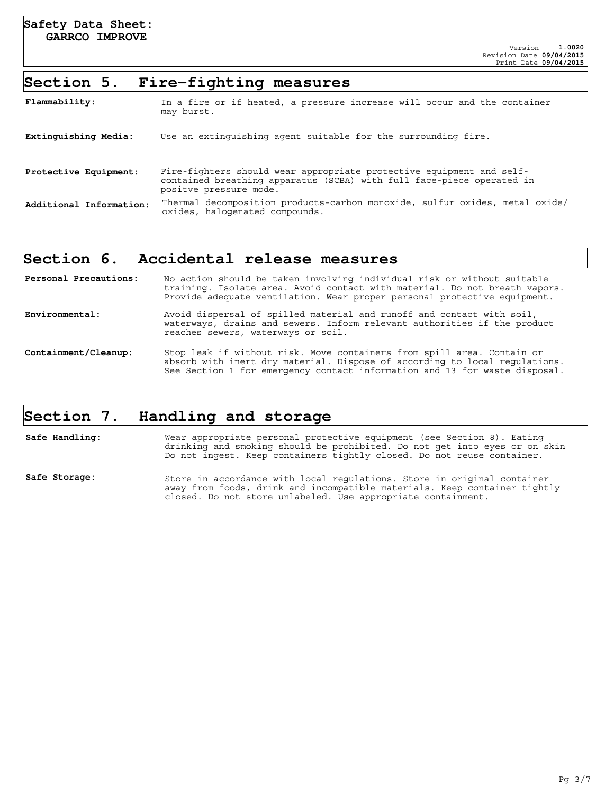#### **Section 5. Fire-fighting measures**

| Flammability:           | In a fire or if heated, a pressure increase will occur and the container<br>may burst.                                                                                  |
|-------------------------|-------------------------------------------------------------------------------------------------------------------------------------------------------------------------|
| Extinguishing Media:    | Use an extinguishing agent suitable for the surrounding fire.                                                                                                           |
| Protective Equipment:   | Fire-fighters should wear appropriate protective equipment and self-<br>contained breathing apparatus (SCBA) with full face-piece operated in<br>positve pressure mode. |
| Additional Information: | Thermal decomposition products-carbon monoxide, sulfur oxides, metal oxide/<br>oxides, halogenated compounds.                                                           |

#### **Section 6. Accidental release measures**

| Personal Precautions: | No action should be taken involving individual risk or without suitable<br>training. Isolate area. Avoid contact with material. Do not breath vapors.<br>Provide adequate ventilation. Wear proper personal protective equipment.  |
|-----------------------|------------------------------------------------------------------------------------------------------------------------------------------------------------------------------------------------------------------------------------|
| Environmental:        | Avoid dispersal of spilled material and runoff and contact with soil,<br>waterways, drains and sewers. Inform relevant authorities if the product<br>reaches sewers, waterways or soil.                                            |
| Containment/Cleanup:  | Stop leak if without risk. Move containers from spill area. Contain or<br>absorb with inert dry material. Dispose of according to local requlations.<br>See Section 1 for emergency contact information and 13 for waste disposal. |

## **Section 7. Handling and storage**

**Safe Handling:** Wear appropriate personal protective equipment (see Section 8). Eating drinking and smoking should be prohibited. Do not get into eyes or on skin Do not ingest. Keep containers tightly closed. Do not reuse container. Safe Storage: Store in accordance with local regulations. Store in original container away from foods, drink and incompatible materials. Keep container tightly closed. Do not store unlabeled. Use appropriate containment.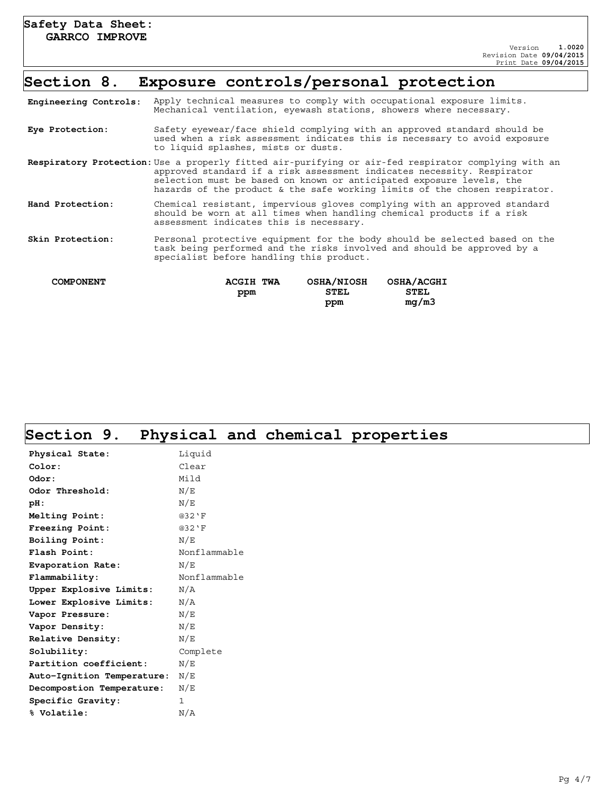### **Section 8. Exposure controls/personal protection**

| Engineering Controls: | Apply technical measures to comply with occupational exposure limits.<br>Mechanical ventilation, eyewash stations, showers where necessary.                                                                                                                                                                                                |  |  |
|-----------------------|--------------------------------------------------------------------------------------------------------------------------------------------------------------------------------------------------------------------------------------------------------------------------------------------------------------------------------------------|--|--|
| Eye Protection:       | Safety eyewear/face shield complying with an approved standard should be<br>used when a risk assessment indicates this is necessary to avoid exposure<br>to liquid splashes, mists or dusts.                                                                                                                                               |  |  |
|                       | <b>Respiratory Protection:</b> Use a properly fitted air-purifying or air-fed respirator complying with an<br>approved standard if a risk assessment indicates necessity. Respirator<br>selection must be based on known or anticipated exposure levels, the<br>hazards of the product & the safe working limits of the chosen respirator. |  |  |
| Hand Protection:      | Chemical resistant, impervious gloves complying with an approved standard<br>should be worn at all times when handling chemical products if a risk<br>assessment indicates this is necessary.                                                                                                                                              |  |  |
| Skin Protection:      | Personal protective equipment for the body should be selected based on the<br>task being performed and the risks involved and should be approved by a<br>specialist before handling this product.                                                                                                                                          |  |  |
| <b>COMPONENT</b>      | <b>OSHA/NIOSH</b><br><b>OSHA/ACGHI</b><br>ACGIH TWA<br><b>STEL</b><br><b>STEL</b><br>ppm                                                                                                                                                                                                                                                   |  |  |

 **ppm**

 **mg/m3**

# **Section 9. Physical and chemical properties**

| ◢                          | ┻<br>-       |
|----------------------------|--------------|
| Physical State:            | Liquid       |
| Color:                     | Clear        |
| Odor:                      | Mild         |
| Odor Threshold:            | N/E          |
| $pH$ :                     | N/E          |
| Melting Point:             | @32'F        |
| Freezing Point:            | @32'F        |
| Boiling Point:             | N/E          |
| Flash Point:               | Nonflammable |
| Evaporation Rate:          | N/E          |
| Flammability:              | Nonflammable |
| Upper Explosive Limits:    | N/A          |
| Lower Explosive Limits:    | N/A          |
| Vapor Pressure:            | N/E          |
| Vapor Density:             | N/E          |
| Relative Density:          | N/E          |
| Solubility:                | Complete     |
| Partition coefficient:     | N/E          |
| Auto-Ignition Temperature: | N/E          |
| Decompostion Temperature:  | N/E          |
| Specific Gravity:          | $\mathbf{1}$ |
| % Volatile:                | N/A          |
|                            |              |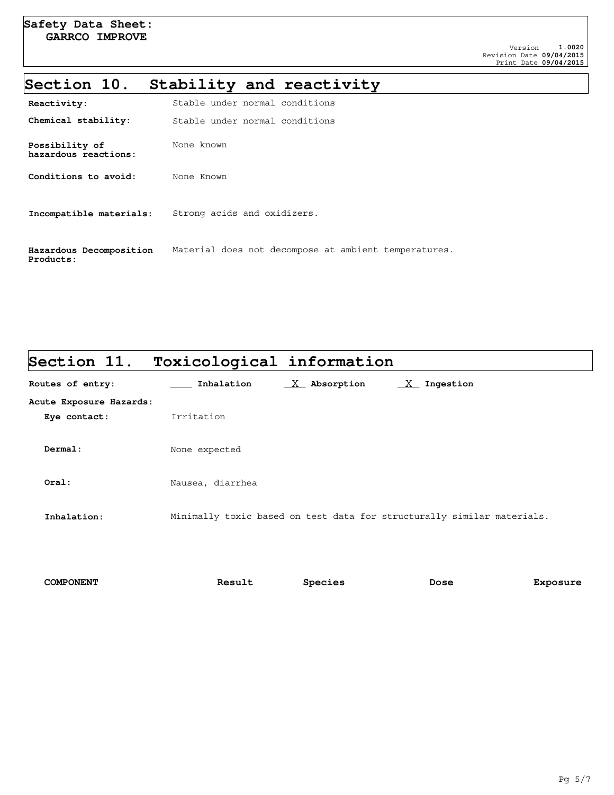# **Section 10. Stability and reactivity**

| Reactivity:                            | Stable under normal conditions                       |
|----------------------------------------|------------------------------------------------------|
| Chemical stability:                    | Stable under normal conditions                       |
| Possibility of<br>hazardous reactions: | None known                                           |
| Conditions to avoid:                   | None Known                                           |
| Incompatible materials:                | Strong acids and oxidizers.                          |
| Hazardous Decomposition<br>Products:   | Material does not decompose at ambient temperatures. |

| Section 11.             | Toxicological information                                              |
|-------------------------|------------------------------------------------------------------------|
| Routes of entry:        | $X$ Absorption<br>$X$ Ingestion<br>Inhalation                          |
| Acute Exposure Hazards: |                                                                        |
| Eye contact:            | Irritation                                                             |
|                         |                                                                        |
| Dermal:                 | None expected                                                          |
|                         |                                                                        |
| Oral:                   | Nausea, diarrhea                                                       |
|                         |                                                                        |
| Inhalation:             | Minimally toxic based on test data for structurally similar materials. |
|                         |                                                                        |
|                         |                                                                        |

| <b>COMPONENT</b> | Result | Species | Dose | Exposure |
|------------------|--------|---------|------|----------|
|                  |        |         |      |          |

٦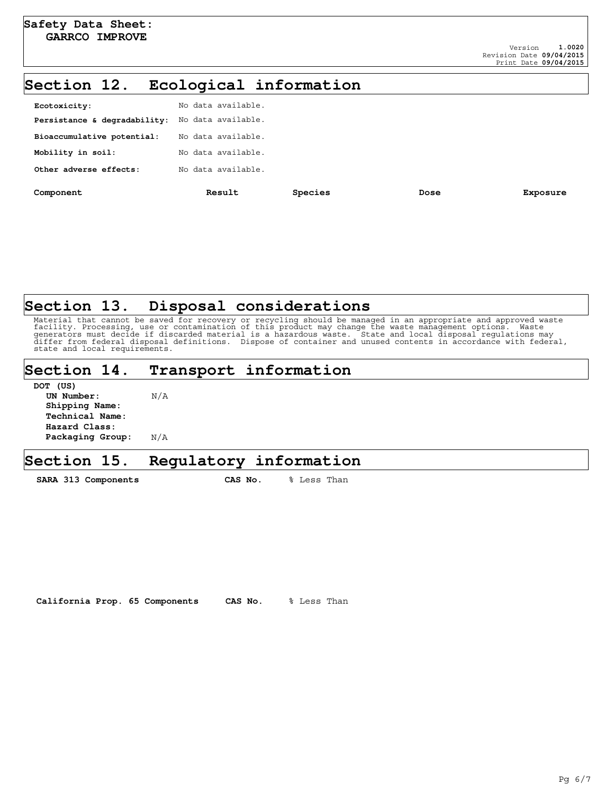## **Section 12. Ecological information**

| Component                    | Result             | Species | Dose | Exposure |
|------------------------------|--------------------|---------|------|----------|
| Other adverse effects:       | No data available. |         |      |          |
| Mobility in soil:            | No data available. |         |      |          |
| Bioaccumulative potential:   | No data available. |         |      |          |
| Persistance & degradability: | No data available. |         |      |          |
| Ecotoxicity:                 | No data available. |         |      |          |
|                              |                    |         |      |          |

## **Section 13. Disposal considerations**

Material that cannot be saved for recovery or recycling should be managed in an appropriate and approved waste<br>facility. Processing, use or contamination of this product may change the waste management options. Waste<br>gener state and local requirements.

### **Section 14. Transport information**

| N/A |
|-----|
|     |
|     |
|     |
| N/A |
|     |

**DOW** (HOL)

#### **Section 15. Regulatory information**

SARA 313 Components CAS No. % Less Than

**California Prop. 65 Components CAS No.** % Less Than